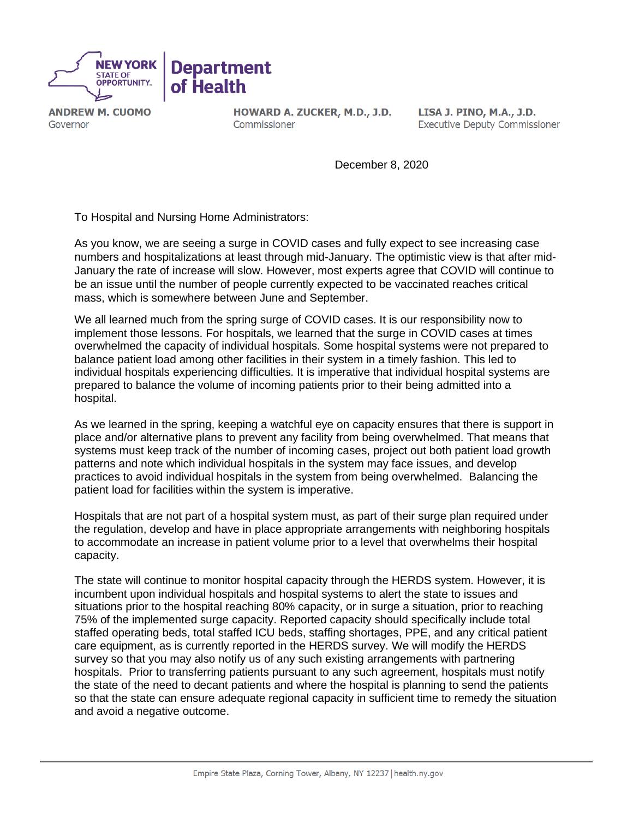

**ANDREW M. CUOMO** Governor

HOWARD A. ZUCKER, M.D., J.D. Commissioner

LISA J. PINO, M.A., J.D. **Executive Deputy Commissioner** 

December 8, 2020

To Hospital and Nursing Home Administrators:

As you know, we are seeing a surge in COVID cases and fully expect to see increasing case numbers and hospitalizations at least through mid-January. The optimistic view is that after mid-January the rate of increase will slow. However, most experts agree that COVID will continue to be an issue until the number of people currently expected to be vaccinated reaches critical mass, which is somewhere between June and September.

We all learned much from the spring surge of COVID cases. It is our responsibility now to implement those lessons. For hospitals, we learned that the surge in COVID cases at times overwhelmed the capacity of individual hospitals. Some hospital systems were not prepared to balance patient load among other facilities in their system in a timely fashion. This led to individual hospitals experiencing difficulties. It is imperative that individual hospital systems are prepared to balance the volume of incoming patients prior to their being admitted into a hospital.

As we learned in the spring, keeping a watchful eye on capacity ensures that there is support in place and/or alternative plans to prevent any facility from being overwhelmed. That means that systems must keep track of the number of incoming cases, project out both patient load growth patterns and note which individual hospitals in the system may face issues, and develop practices to avoid individual hospitals in the system from being overwhelmed. Balancing the patient load for facilities within the system is imperative.

Hospitals that are not part of a hospital system must, as part of their surge plan required under the regulation, develop and have in place appropriate arrangements with neighboring hospitals to accommodate an increase in patient volume prior to a level that overwhelms their hospital capacity.

The state will continue to monitor hospital capacity through the HERDS system. However, it is incumbent upon individual hospitals and hospital systems to alert the state to issues and situations prior to the hospital reaching 80% capacity, or in surge a situation, prior to reaching 75% of the implemented surge capacity. Reported capacity should specifically include total staffed operating beds, total staffed ICU beds, staffing shortages, PPE, and any critical patient care equipment, as is currently reported in the HERDS survey. We will modify the HERDS survey so that you may also notify us of any such existing arrangements with partnering hospitals. Prior to transferring patients pursuant to any such agreement, hospitals must notify the state of the need to decant patients and where the hospital is planning to send the patients so that the state can ensure adequate regional capacity in sufficient time to remedy the situation and avoid a negative outcome.